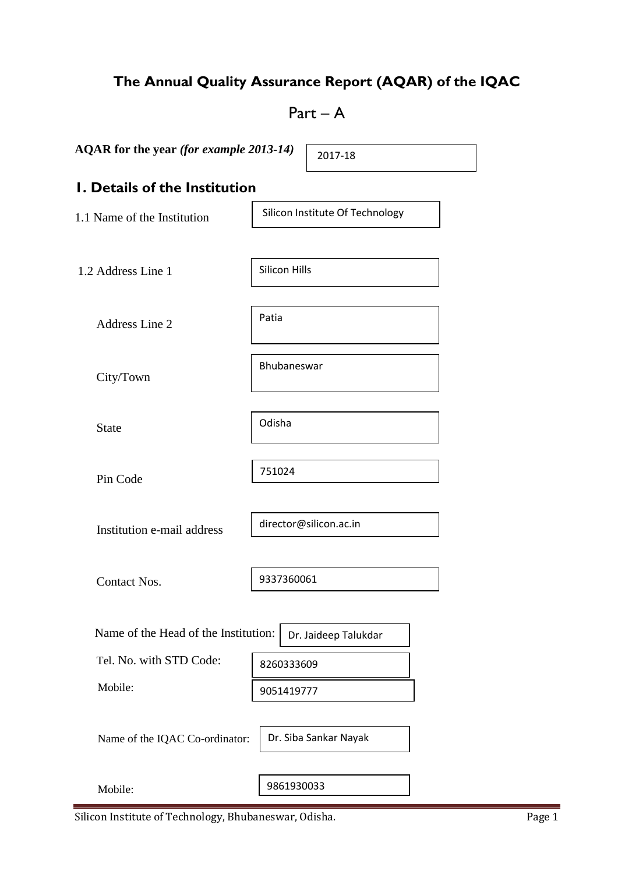# **The Annual Quality Assurance Report (AQAR) of the IQAC**

# $Part - A$

Silicon Hills

Bhubaneswar

Patia

Odisha

751024

**AQAR for the year** *(for example 2013-14)*

2017-18

# **1. Details of the Institution**

1.1 Name of the Institution

Silicon Institute Of Technology

1.2 Address Line 1

Address Line 2

City/Town

State

Pin Code

Institution e-mail address

director@silicon.ac.in

Contact Nos.

9337360061

Name of the Head of the Institution: Tel. No. with STD Code: Mobile: Dr. Jaideep Talukdar 8260333609 9051419777

Name of the IQAC Co-ordinator:

Dr. Siba Sankar Nayak

Mobile:

9861930033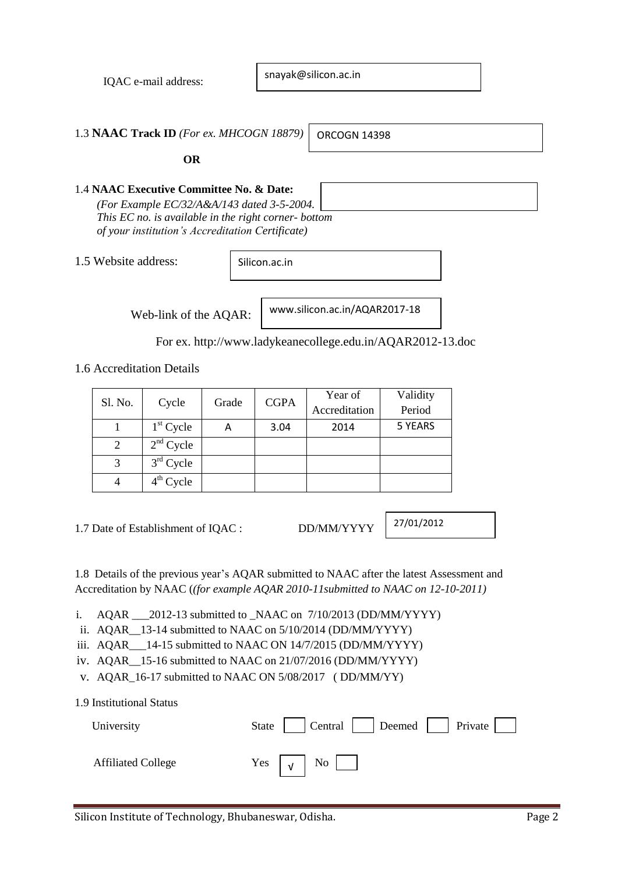IQAC e-mail address:

snayak@silicon.ac.in

1.3 **NAAC Track ID** *(For ex. MHCOGN 18879)*

ORCOGN 14398

 **OR**

## 1.4 **NAAC Executive Committee No. & Date:**

*(For Example EC/32/A&A/143 dated 3-5-2004. This EC no. is available in the right corner- bottom of your institution's Accreditation Certificate)*

1.5 Website address:

Silicon.ac.in

Web-link of the AQAR:

www.silicon.ac.in/AQAR2017-18

For ex. http://www.ladykeanecollege.edu.in/AQAR2012-13.doc

1.6 Accreditation Details

| Sl. No. |             |   | <b>CGPA</b><br>Grade | Year of       | Validity |
|---------|-------------|---|----------------------|---------------|----------|
|         | Cycle       |   |                      | Accreditation | Period   |
|         | $1st$ Cycle | Α | 3.04                 | 2014          | 5 YEARS  |
|         | $2nd$ Cycle |   |                      |               |          |
|         | $3rd$ Cycle |   |                      |               |          |
|         | $4th$ Cycle |   |                      |               |          |

1.7 Date of Establishment of IQAC : DD/MM/YYYY

27/01/2012

1.8 Details of the previous year's AQAR submitted to NAAC after the latest Assessment and Accreditation by NAAC (*(for example AQAR 2010-11submitted to NAAC on 12-10-2011)*

i. AQAR \_\_\_2012-13 submitted to \_NAAC on 7/10/2013 (DD/MM/YYYY)

ii. AQAR\_\_13-14 submitted to NAAC on 5/10/2014 (DD/MM/YYYY)

iii. AQAR 14-15 submitted to NAAC ON 14/7/2015 (DD/MM/YYYY)

iv. AQAR\_\_15-16 submitted to NAAC on 21/07/2016 (DD/MM/YYYY)

v. AQAR\_16-17 submitted to NAAC ON 5/08/2017 ( DD/MM/YY)

| 1.9 Institutional Status  |                                          |
|---------------------------|------------------------------------------|
| University                | State     Central     Deemed     Private |
| <b>Affiliated College</b> | Yes $\vert \sqrt{\vert}$ No $\vert$      |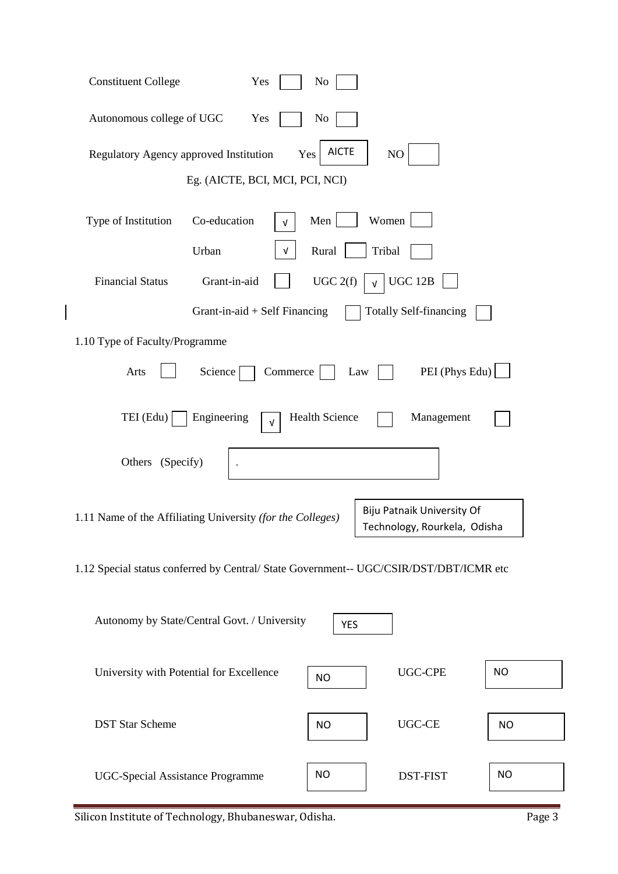| <b>Constituent College</b><br>Yes<br>N <sub>0</sub>                                                                             |           |  |  |  |  |  |  |
|---------------------------------------------------------------------------------------------------------------------------------|-----------|--|--|--|--|--|--|
| Autonomous college of UGC<br>Yes<br>No                                                                                          |           |  |  |  |  |  |  |
| <b>AICTE</b><br>$\rm NO$<br>Regulatory Agency approved Institution<br>Yes                                                       |           |  |  |  |  |  |  |
| Eg. (AICTE, BCI, MCI, PCI, NCI)                                                                                                 |           |  |  |  |  |  |  |
| Women<br>Co-education<br>Type of Institution<br>Men<br>V                                                                        |           |  |  |  |  |  |  |
| Urban<br>Rural<br>Tribal<br>V                                                                                                   |           |  |  |  |  |  |  |
| UGC 2(f)<br>UGC 12B<br><b>Financial Status</b><br>Grant-in-aid                                                                  |           |  |  |  |  |  |  |
| Grant-in-aid + Self Financing<br><b>Totally Self-financing</b>                                                                  |           |  |  |  |  |  |  |
| 1.10 Type of Faculty/Programme                                                                                                  |           |  |  |  |  |  |  |
| PEI (Phys Edu)<br>Arts<br>Science<br>Commerce<br>Law                                                                            |           |  |  |  |  |  |  |
| <b>Health Science</b><br>TEI (Edu)<br>Engineering<br>Management<br>V                                                            |           |  |  |  |  |  |  |
| Others (Specify)                                                                                                                |           |  |  |  |  |  |  |
| <b>Biju Patnaik University Of</b><br>1.11 Name of the Affiliating University (for the Colleges)<br>Technology, Rourkela, Odisha |           |  |  |  |  |  |  |
| 1.12 Special status conferred by Central/ State Government-- UGC/CSIR/DST/DBT/ICMR etc                                          |           |  |  |  |  |  |  |
| Autonomy by State/Central Govt. / University<br><b>YES</b>                                                                      |           |  |  |  |  |  |  |
| <b>UGC-CPE</b><br>University with Potential for Excellence<br><b>NO</b>                                                         | <b>NO</b> |  |  |  |  |  |  |
| <b>UGC-CE</b><br><b>DST Star Scheme</b><br><b>NO</b>                                                                            | <b>NO</b> |  |  |  |  |  |  |
| <b>NO</b><br><b>UGC-Special Assistance Programme</b><br><b>DST-FIST</b>                                                         | <b>NO</b> |  |  |  |  |  |  |

Silicon Institute of Technology, Bhubaneswar, Odisha. Page 3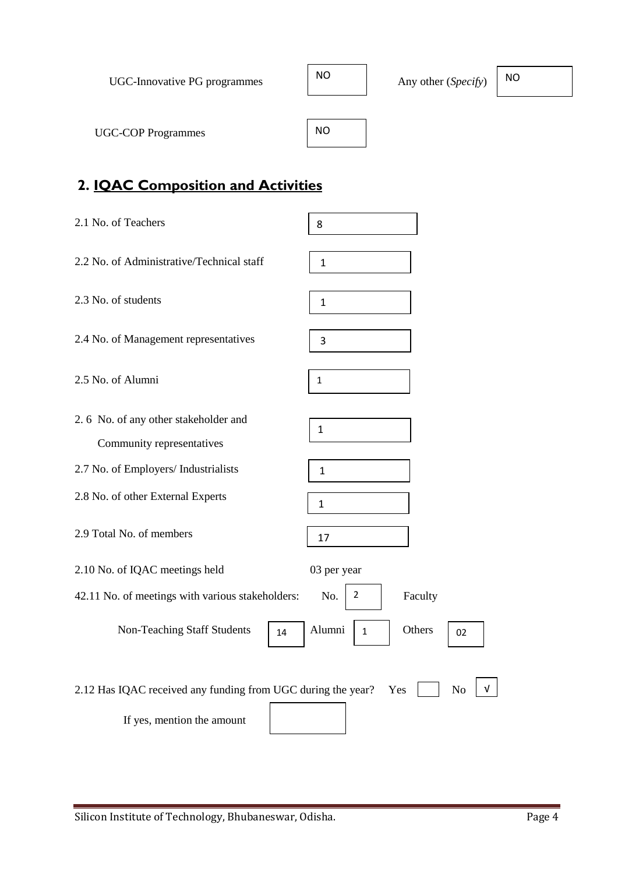| UGC-Innovative PG programmes | NO | Any other (Specify) | NO. |
|------------------------------|----|---------------------|-----|
| <b>UGC-COP Programmes</b>    | NO |                     |     |

# **2. IQAC Composition and Activities**

| 2.1 No. of Teachers                                                                        | 8                                      |
|--------------------------------------------------------------------------------------------|----------------------------------------|
| 2.2 No. of Administrative/Technical staff                                                  | $\mathbf{1}$                           |
| 2.3 No. of students                                                                        | $\mathbf{1}$                           |
| 2.4 No. of Management representatives                                                      | 3                                      |
| 2.5 No. of Alumni                                                                          | $\mathbf{1}$                           |
| 2.6 No. of any other stakeholder and<br>Community representatives                          | 1                                      |
| 2.7 No. of Employers/ Industrialists                                                       | 1                                      |
| 2.8 No. of other External Experts                                                          | $\mathbf{1}$                           |
| 2.9 Total No. of members                                                                   | 17                                     |
| 2.10 No. of IQAC meetings held                                                             | 03 per year                            |
| 42.11 No. of meetings with various stakeholders:                                           | 2<br>Faculty<br>No.                    |
| <b>Non-Teaching Staff Students</b><br>14                                                   | Alumni<br>Others<br>$\mathbf{1}$<br>02 |
| 2.12 Has IQAC received any funding from UGC during the year?<br>If yes, mention the amount | No<br>Yes<br>V                         |
|                                                                                            |                                        |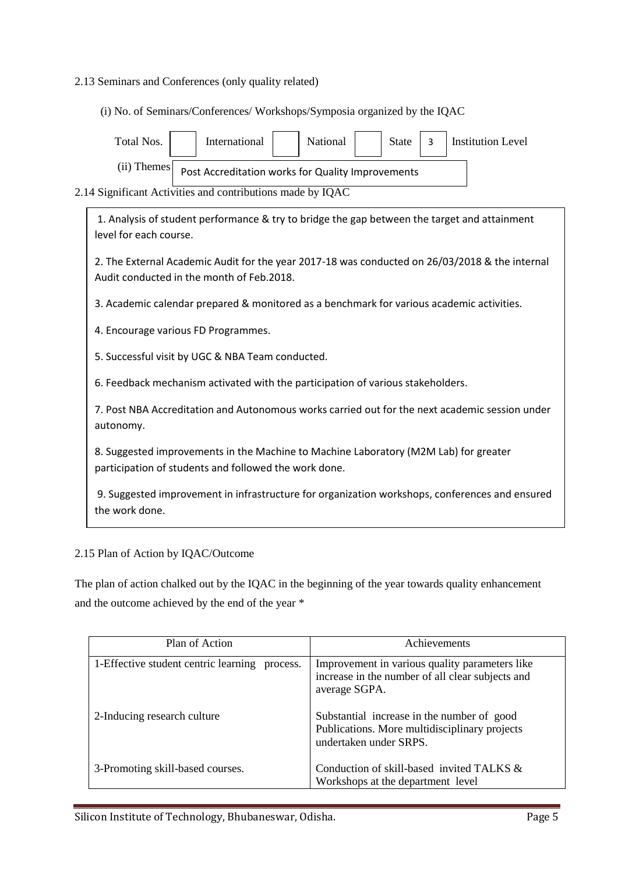## 2.13 Seminars and Conferences (only quality related)

(i) No. of Seminars/Conferences/ Workshops/Symposia organized by the IQAC

| <b>National</b><br><b>Institution Level</b><br>Total Nos.<br>International<br><b>State</b><br>3                                             |
|---------------------------------------------------------------------------------------------------------------------------------------------|
| $(ii)$ Themes<br>Post Accreditation works for Quality Improvements                                                                          |
| 2.14 Significant Activities and contributions made by IQAC                                                                                  |
| 1. Analysis of student performance & try to bridge the gap between the target and attainment<br>level for each course.                      |
| 2. The External Academic Audit for the year 2017-18 was conducted on 26/03/2018 & the internal<br>Audit conducted in the month of Feb.2018. |
| 3. Academic calendar prepared & monitored as a benchmark for various academic activities.                                                   |

4. Encourage various FD Programmes.

5. Successful visit by UGC & NBA Team conducted.

6. Feedback mechanism activated with the participation of various stakeholders.

7. Post NBA Accreditation and Autonomous works carried out for the next academic session under autonomy.

8. Suggested improvements in the Machine to Machine Laboratory (M2M Lab) for greater participation of students and followed the work done.

9. Suggested improvement in infrastructure for organization workshops, conferences and ensured the work done.

### 2.15 Plan of Action by IQAC/Outcome

The plan of action chalked out by the IQAC in the beginning of the year towards quality enhancement and the outcome achieved by the end of the year \*

| Plan of Action                                | Achievements                                                                                                          |
|-----------------------------------------------|-----------------------------------------------------------------------------------------------------------------------|
| 1-Effective student centric learning process. | Improvement in various quality parameters like<br>increase in the number of all clear subjects and<br>average SGPA.   |
| 2-Inducing research culture                   | Substantial increase in the number of good<br>Publications. More multidisciplinary projects<br>undertaken under SRPS. |
| 3-Promoting skill-based courses.              | Conduction of skill-based invited TALKS &<br>Workshops at the department level                                        |

Silicon Institute of Technology, Bhubaneswar, Odisha. Page 5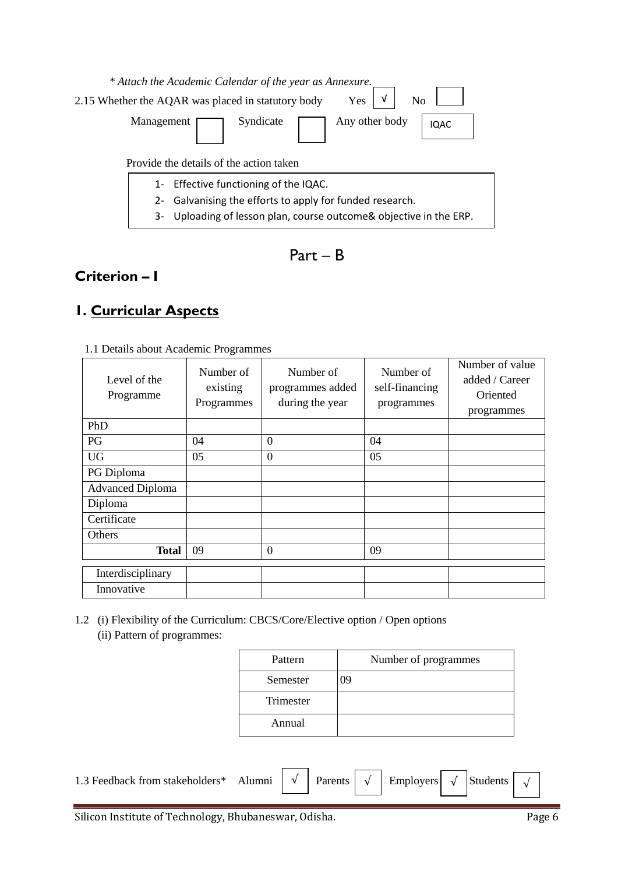

Part – B

# **Criterion – I**

# **1. Curricular Aspects**

| 1.1 Details about Academic Programmes |                                                                        |  |  |  |  |  |
|---------------------------------------|------------------------------------------------------------------------|--|--|--|--|--|
|                                       | $N_{\text{total}}$ $\sim$ 1. $\sim$ $\sim$ $\sim$ $\sim$ $\sim$ $\sim$ |  |  |  |  |  |

| Level of the<br>Programme | Number of<br>existing<br>Programmes | Number of<br>programmes added<br>during the year | Number of<br>self-financing<br>programmes | Number of value<br>added / Career<br>Oriented<br>programmes |
|---------------------------|-------------------------------------|--------------------------------------------------|-------------------------------------------|-------------------------------------------------------------|
| PhD                       |                                     |                                                  |                                           |                                                             |
| PG                        | 04                                  | $\Omega$                                         | 04                                        |                                                             |
| <b>UG</b>                 | 05                                  | $\overline{0}$                                   | 05                                        |                                                             |
| PG Diploma                |                                     |                                                  |                                           |                                                             |
| <b>Advanced Diploma</b>   |                                     |                                                  |                                           |                                                             |
| Diploma                   |                                     |                                                  |                                           |                                                             |
| Certificate               |                                     |                                                  |                                           |                                                             |
| Others                    |                                     |                                                  |                                           |                                                             |
| <b>Total</b>              | 09                                  | $\overline{0}$                                   | 09                                        |                                                             |
| Interdisciplinary         |                                     |                                                  |                                           |                                                             |
| Innovative                |                                     |                                                  |                                           |                                                             |

1.2 (i) Flexibility of the Curriculum: CBCS/Core/Elective option / Open options (ii) Pattern of programmes:

| Pattern   | Number of programmes |
|-----------|----------------------|
| Semester  | 09                   |
| Trimester |                      |
| Annual    |                      |

| 1.3 Feedback from stakeholders* Alumni $\begin{vmatrix} \sqrt{\ } \end{vmatrix}$ Parents $\begin{vmatrix} \sqrt{\ } \end{vmatrix}$ Employers $\begin{vmatrix} \sqrt{\ } \end{vmatrix}$ Students $\begin{vmatrix} \sqrt{\ } \end{vmatrix}$ |  |  |  |  |  |
|-------------------------------------------------------------------------------------------------------------------------------------------------------------------------------------------------------------------------------------------|--|--|--|--|--|
|                                                                                                                                                                                                                                           |  |  |  |  |  |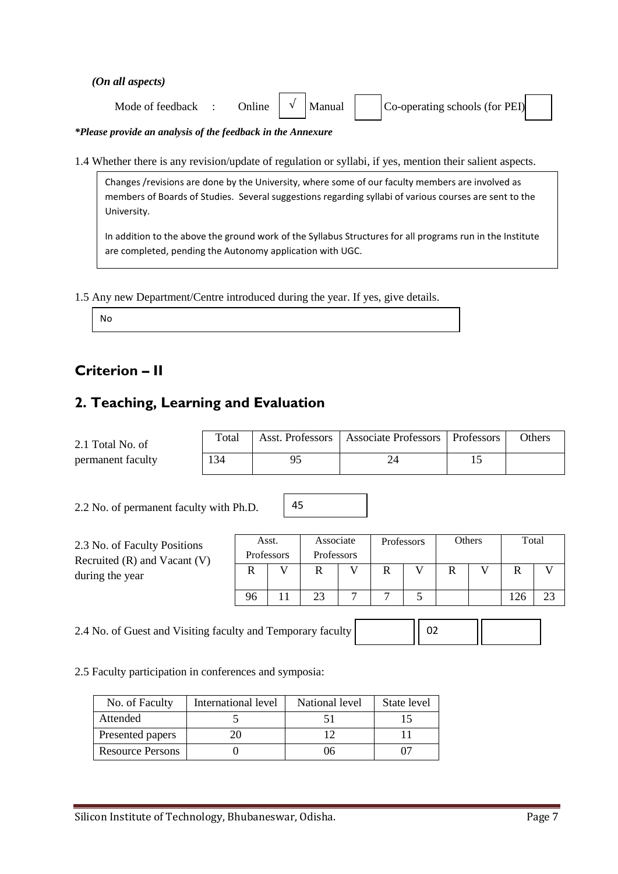*(On all aspects)*

| <b>Online</b><br>Mode of feedback | Manual | Co-operating schools (for PEI) |  |
|-----------------------------------|--------|--------------------------------|--|
|-----------------------------------|--------|--------------------------------|--|

*\*Please provide an analysis of the feedback in the Annexure*

1.4 Whether there is any revision/update of regulation or syllabi, if yes, mention their salient aspects.

Changes /revisions are done by the University, where some of our faculty members are involved as members of Boards of Studies. Several suggestions regarding syllabi of various courses are sent to the University.

In addition to the above the ground work of the Syllabus Structures for all programs run in the Institute are completed, pending the Autonomy application with UGC.

1.5 Any new Department/Centre introduced during the year. If yes, give details.

No

# **Criterion – II**

# **2. Teaching, Learning and Evaluation**

| 2.1 Total No. of  | Total | Asst. Professors   Associate Professors   Professors | Others |
|-------------------|-------|------------------------------------------------------|--------|
| permanent faculty | 134   |                                                      |        |

45

2.2 No. of permanent faculty with Ph.D.

| 2.3 No. of Faculty Positions<br>Recruited $(R)$ and Vacant $(V)$ | Asst.<br>Professors |  | Associate<br>Professors |                | Professors |  | Others |  | Total |  |
|------------------------------------------------------------------|---------------------|--|-------------------------|----------------|------------|--|--------|--|-------|--|
| during the year                                                  |                     |  |                         |                | R          |  | R      |  |       |  |
|                                                                  | 96                  |  | 23                      | $\overline{ }$ |            |  |        |  | .26   |  |

2.4 No. of Guest and Visiting faculty and Temporary faculty 22

02

2.5 Faculty participation in conferences and symposia:

| No. of Faculty          | International level | National level | State level |
|-------------------------|---------------------|----------------|-------------|
| Attended                |                     |                |             |
| Presented papers        |                     |                |             |
| <b>Resource Persons</b> |                     |                |             |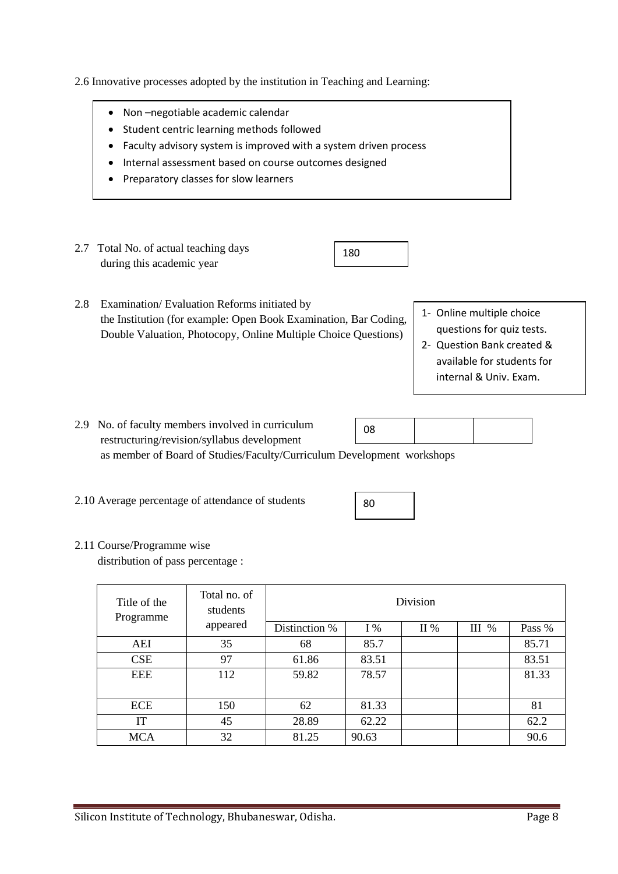2.6 Innovative processes adopted by the institution in Teaching and Learning:

- Non –negotiable academic calendar
- Student centric learning methods followed
- Faculty advisory system is improved with a system driven process
- Internal assessment based on course outcomes designed
- Preparatory classes for slow learners
- 2.7 Total No. of actual teaching days during this academic year

180

- 2.8 Examination/ Evaluation Reforms initiated by the Institution (for example: Open Book Examination, Bar Coding, Double Valuation, Photocopy, Online Multiple Choice Questions)
- 1- Online multiple choice questions for quiz tests.
- 2- Question Bank created & available for students for internal & Univ. Exam.
- 2.9 No. of faculty members involved in curriculum restructuring/revision/syllabus development as member of Board of Studies/Faculty/Curriculum Development workshops 08
- 2.10 Average percentage of attendance of students



## 2.11 Course/Programme wise

distribution of pass percentage :

| Title of the<br>Programme | Total no. of<br>students |               |       |     |         |        |
|---------------------------|--------------------------|---------------|-------|-----|---------|--------|
|                           | appeared                 | Distinction % | $I\%$ | II% | $III$ % | Pass % |
| AEI                       | 35                       | 68            | 85.7  |     |         | 85.71  |
| <b>CSE</b>                | 97                       | 61.86         | 83.51 |     |         | 83.51  |
| EEE                       | 112                      | 59.82         | 78.57 |     |         | 81.33  |
|                           |                          |               |       |     |         |        |
| ECE                       | 150                      | 62            | 81.33 |     |         | 81     |
| IT                        | 45                       | 28.89         | 62.22 |     |         | 62.2   |
| <b>MCA</b>                | 32                       | 81.25         | 90.63 |     |         | 90.6   |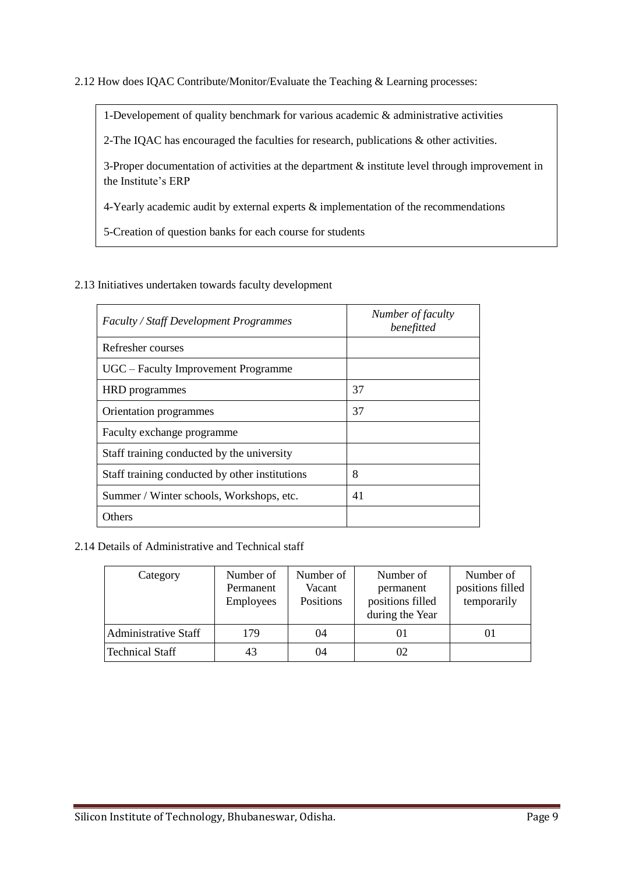2.12 How does IQAC Contribute/Monitor/Evaluate the Teaching & Learning processes:

1-Developement of quality benchmark for various academic & administrative activities

2-The IQAC has encouraged the faculties for research, publications & other activities.

3-Proper documentation of activities at the department & institute level through improvement in the Institute's ERP

4-Yearly academic audit by external experts & implementation of the recommendations

5-Creation of question banks for each course for students

## 2.13 Initiatives undertaken towards faculty development

| <b>Faculty / Staff Development Programmes</b>  | Number of faculty<br>benefitted |
|------------------------------------------------|---------------------------------|
| Refresher courses                              |                                 |
| UGC – Faculty Improvement Programme            |                                 |
| <b>HRD</b> programmes                          | 37                              |
| Orientation programmes                         | 37                              |
| Faculty exchange programme                     |                                 |
| Staff training conducted by the university     |                                 |
| Staff training conducted by other institutions | 8                               |
| Summer / Winter schools, Workshops, etc.       | 41                              |
| Others                                         |                                 |

## 2.14 Details of Administrative and Technical staff

| Category                    | Number of<br>Permanent<br><b>Employees</b> | Number of<br>Vacant<br>Positions | Number of<br>permanent<br>positions filled<br>during the Year | Number of<br>positions filled<br>temporarily |
|-----------------------------|--------------------------------------------|----------------------------------|---------------------------------------------------------------|----------------------------------------------|
| <b>Administrative Staff</b> | 179                                        | 04                               | 01                                                            | ΟI                                           |
| Technical Staff             | 43                                         | 04                               | 02                                                            |                                              |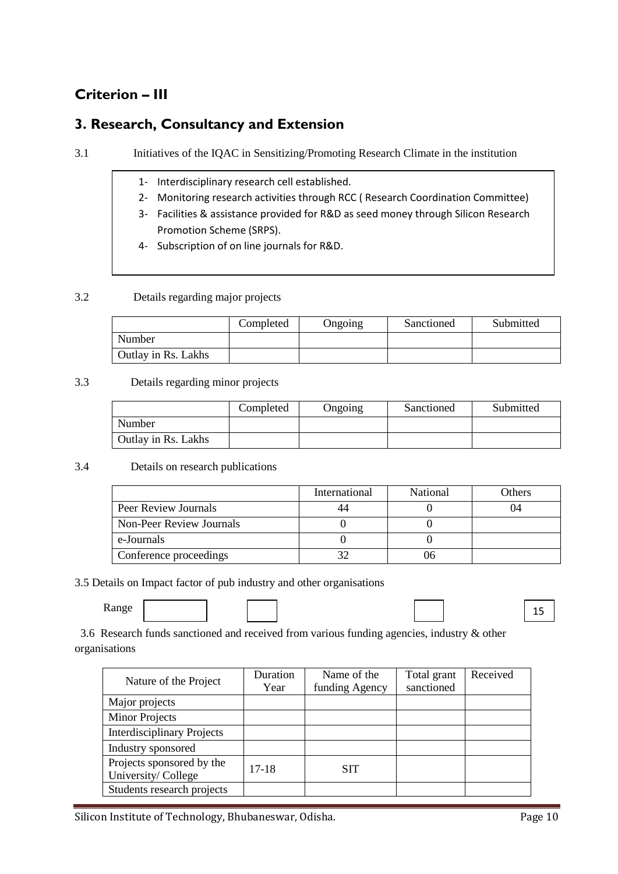# **Criterion – III**

# **3. Research, Consultancy and Extension**

3.1 Initiatives of the IQAC in Sensitizing/Promoting Research Climate in the institution

- 1- Interdisciplinary research cell established.
- 2- Monitoring research activities through RCC ( Research Coordination Committee)
- 3- Facilities & assistance provided for R&D as seed money through Silicon Research Promotion Scheme (SRPS).
- 4- Subscription of on line journals for R&D.

### 3.2 Details regarding major projects

|                     | Completed | Ongoing | Sanctioned | Submitted |
|---------------------|-----------|---------|------------|-----------|
| Number              |           |         |            |           |
| Outlay in Rs. Lakhs |           |         |            |           |

### 3.3 Details regarding minor projects

|                     | Completed | Ongoing | Sanctioned | Submitted |
|---------------------|-----------|---------|------------|-----------|
| Number              |           |         |            |           |
| Outlay in Rs. Lakhs |           |         |            |           |

### 3.4 Details on research publications

|                          | International | National | Others |
|--------------------------|---------------|----------|--------|
| Peer Review Journals     |               |          | 14     |
| Non-Peer Review Journals |               |          |        |
| e-Journals               |               |          |        |
| Conference proceedings   |               |          |        |

### 3.5 Details on Impact factor of pub industry and other organisations

Range

15

3.6 Research funds sanctioned and received from various funding agencies, industry  $\&$  other organisations

|                                   | Duration | Name of the    | Total grant | Received |
|-----------------------------------|----------|----------------|-------------|----------|
| Nature of the Project             | Year     | funding Agency | sanctioned  |          |
| Major projects                    |          |                |             |          |
| <b>Minor Projects</b>             |          |                |             |          |
| <b>Interdisciplinary Projects</b> |          |                |             |          |
| Industry sponsored                |          |                |             |          |
| Projects sponsored by the         | $17-18$  | <b>SIT</b>     |             |          |
| University/College                |          |                |             |          |
| Students research projects        |          |                |             |          |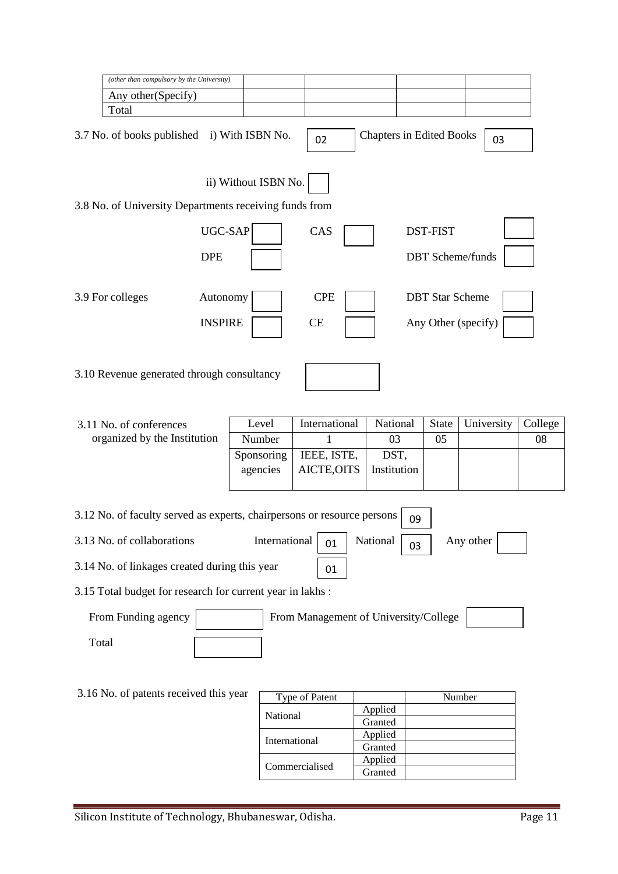|       | (other than compulsory by the University)                               |                |                        |                      |                                       |             |    |                                 |                         |         |
|-------|-------------------------------------------------------------------------|----------------|------------------------|----------------------|---------------------------------------|-------------|----|---------------------------------|-------------------------|---------|
|       | Any other(Specify)                                                      |                |                        |                      |                                       |             |    |                                 |                         |         |
|       | Total                                                                   |                |                        |                      |                                       |             |    |                                 |                         |         |
|       | 3.7 No. of books published i) With ISBN No.                             |                |                        |                      | 02                                    |             |    | <b>Chapters in Edited Books</b> | 03                      |         |
|       |                                                                         |                |                        | ii) Without ISBN No. |                                       |             |    |                                 |                         |         |
|       | 3.8 No. of University Departments receiving funds from                  |                |                        |                      |                                       |             |    |                                 |                         |         |
|       |                                                                         | UGC-SAP        |                        |                      | CAS                                   |             |    | <b>DST-FIST</b>                 |                         |         |
|       |                                                                         | <b>DPE</b>     |                        |                      |                                       |             |    |                                 | <b>DBT</b> Scheme/funds |         |
|       | 3.9 For colleges                                                        | Autonomy       |                        |                      | <b>CPE</b>                            |             |    | <b>DBT</b> Star Scheme          |                         |         |
|       |                                                                         | <b>INSPIRE</b> |                        |                      | CE                                    |             |    |                                 | Any Other (specify)     |         |
|       | 3.10 Revenue generated through consultancy                              |                |                        |                      |                                       |             |    |                                 |                         |         |
|       |                                                                         |                |                        |                      |                                       |             |    |                                 |                         |         |
|       | 3.11 No. of conferences<br>organized by the Institution                 |                | Level                  |                      | International                         | National    |    | <b>State</b>                    | University              | College |
|       |                                                                         |                | Number                 |                      | 1                                     | 03<br>DST,  |    | 05                              |                         | 08      |
|       |                                                                         |                | Sponsoring<br>agencies |                      | IEEE, ISTE,<br>AICTE, OITS            | Institution |    |                                 |                         |         |
|       |                                                                         |                |                        |                      |                                       |             |    |                                 |                         |         |
|       | 3.12 No. of faculty served as experts, chairpersons or resource persons |                |                        |                      |                                       |             | 09 |                                 |                         |         |
|       | 3.13 No. of collaborations                                              |                |                        | International        | 01                                    | National    | 03 |                                 | Any other               |         |
|       | 3.14 No. of linkages created during this year                           |                |                        |                      | 01                                    |             |    |                                 |                         |         |
|       | 3.15 Total budget for research for current year in lakhs:               |                |                        |                      |                                       |             |    |                                 |                         |         |
|       |                                                                         |                |                        |                      | From Management of University/College |             |    |                                 |                         |         |
|       | From Funding agency                                                     |                |                        |                      |                                       |             |    |                                 |                         |         |
| Total |                                                                         |                |                        |                      |                                       |             |    |                                 |                         |         |
|       |                                                                         |                |                        |                      |                                       |             |    |                                 |                         |         |
|       | 3.16 No. of patents received this year                                  |                |                        | National             | Type of Patent                        | Applied     |    |                                 | Number                  |         |

**International** 

Commercialised

Applied<br>Granted<br>Applied

Granted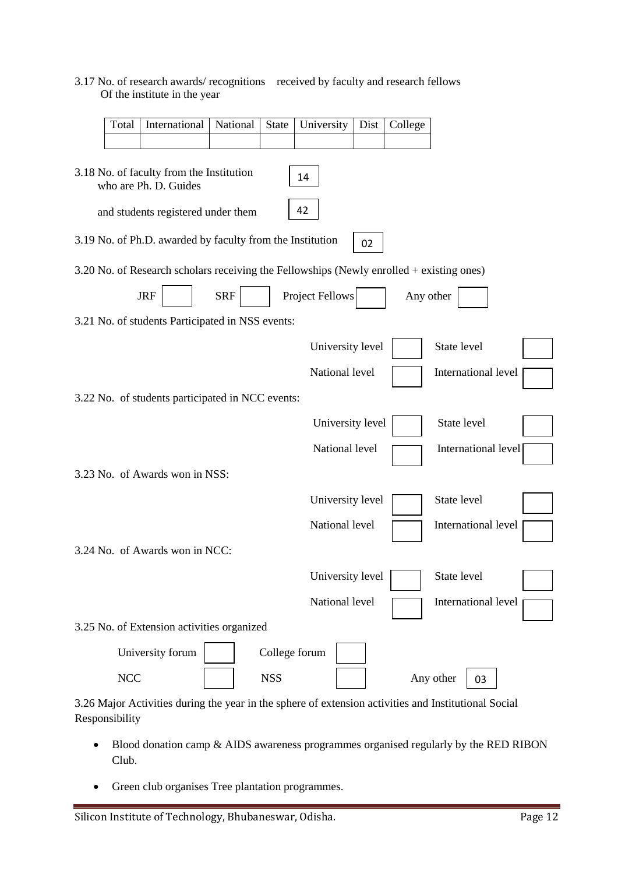## 3.17 No. of research awards/ recognitions received by faculty and research fellows Of the institute in the year

| Total                                                                   | International                                                                            | National   | State      | University       | Dist | College   |                                                                                                      |  |
|-------------------------------------------------------------------------|------------------------------------------------------------------------------------------|------------|------------|------------------|------|-----------|------------------------------------------------------------------------------------------------------|--|
|                                                                         |                                                                                          |            |            |                  |      |           |                                                                                                      |  |
| 3.18 No. of faculty from the Institution<br>14<br>who are Ph. D. Guides |                                                                                          |            |            |                  |      |           |                                                                                                      |  |
|                                                                         | and students registered under them                                                       |            |            | 42               |      |           |                                                                                                      |  |
|                                                                         | 3.19 No. of Ph.D. awarded by faculty from the Institution                                |            |            |                  | 02   |           |                                                                                                      |  |
|                                                                         | 3.20 No. of Research scholars receiving the Fellowships (Newly enrolled + existing ones) |            |            |                  |      |           |                                                                                                      |  |
|                                                                         | <b>JRF</b>                                                                               | <b>SRF</b> |            | Project Fellows  |      | Any other |                                                                                                      |  |
|                                                                         | 3.21 No. of students Participated in NSS events:                                         |            |            |                  |      |           |                                                                                                      |  |
|                                                                         |                                                                                          |            |            | University level |      |           | State level                                                                                          |  |
|                                                                         |                                                                                          |            |            | National level   |      |           | International level                                                                                  |  |
|                                                                         | 3.22 No. of students participated in NCC events:                                         |            |            |                  |      |           |                                                                                                      |  |
|                                                                         |                                                                                          |            |            | University level |      |           | State level                                                                                          |  |
|                                                                         |                                                                                          |            |            | National level   |      |           | International level                                                                                  |  |
|                                                                         | 3.23 No. of Awards won in NSS:                                                           |            |            |                  |      |           |                                                                                                      |  |
|                                                                         |                                                                                          |            |            | University level |      |           | State level                                                                                          |  |
|                                                                         |                                                                                          |            |            | National level   |      |           | International level                                                                                  |  |
|                                                                         | 3.24 No. of Awards won in NCC:                                                           |            |            |                  |      |           |                                                                                                      |  |
|                                                                         |                                                                                          |            |            | University level |      |           | State level                                                                                          |  |
|                                                                         |                                                                                          |            |            | National level   |      |           | International level                                                                                  |  |
|                                                                         | 3.25 No. of Extension activities organized                                               |            |            |                  |      |           |                                                                                                      |  |
|                                                                         | University forum                                                                         |            |            | College forum    |      |           |                                                                                                      |  |
| <b>NCC</b>                                                              |                                                                                          |            | <b>NSS</b> |                  |      |           | Any other<br>03                                                                                      |  |
|                                                                         |                                                                                          |            |            |                  |      |           | 3.26 Major Activities during the year in the sphere of extension activities and Institutional Social |  |

- Blood donation camp & AIDS awareness programmes organised regularly by the RED RIBON Club.
- Green club organises Tree plantation programmes.

Responsibility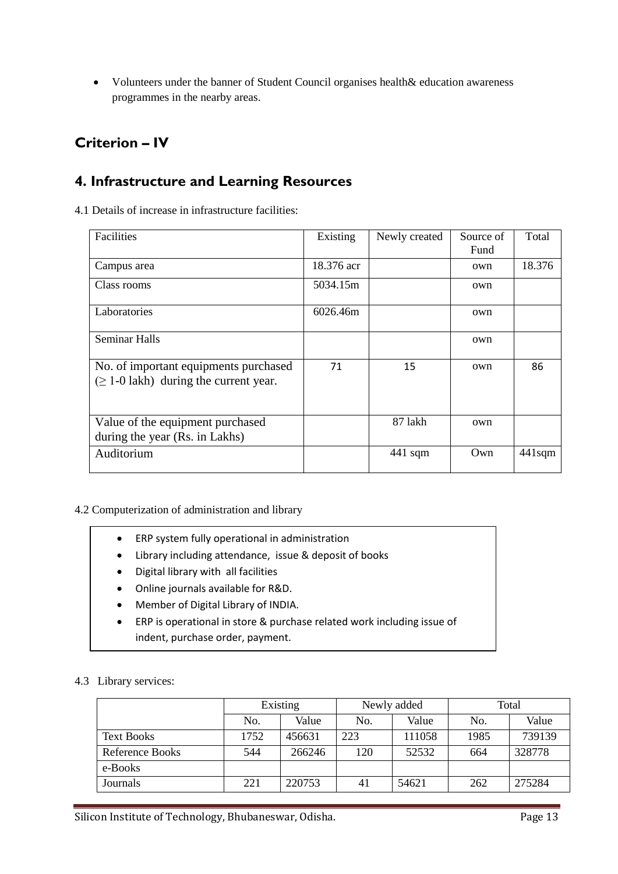Volunteers under the banner of Student Council organises health& education awareness programmes in the nearby areas.

# **Criterion – IV**

# **4. Infrastructure and Learning Resources**

4.1 Details of increase in infrastructure facilities:

| Facilities                                                                           | Existing   | Newly created | Source of | Total     |
|--------------------------------------------------------------------------------------|------------|---------------|-----------|-----------|
|                                                                                      |            |               | Fund      |           |
| Campus area                                                                          | 18.376 acr |               | own       | 18.376    |
| Class rooms                                                                          | 5034.15m   |               | own       |           |
| Laboratories                                                                         | 6026.46m   |               | own       |           |
| <b>Seminar Halls</b>                                                                 |            |               | own       |           |
| No. of important equipments purchased<br>$(\geq 1$ -0 lakh) during the current year. | 71         | 15            | own       | 86        |
| Value of the equipment purchased<br>during the year (Rs. in Lakhs)                   |            | 87 lakh       | own       |           |
| Auditorium                                                                           |            | $441$ sqm     | Own       | $441$ sqm |

## 4.2 Computerization of administration and library

- ERP system fully operational in administration
- Library including attendance, issue & deposit of books
- Digital library with all facilities
- Online journals available for R&D.
- Member of Digital Library of INDIA.
- ERP is operational in store & purchase related work including issue of indent, purchase order, payment.

## 4.3 Library services:

|                        | Existing |        |     | Newly added | Total |        |  |
|------------------------|----------|--------|-----|-------------|-------|--------|--|
|                        | No.      | Value  | No. | Value       | No.   | Value  |  |
| <b>Text Books</b>      | 1752     | 456631 | 223 | 111058      | 1985  | 739139 |  |
| <b>Reference Books</b> | 544      | 266246 | 120 | 52532       | 664   | 328778 |  |
| e-Books                |          |        |     |             |       |        |  |
| Journals               | 221      | 220753 | 41  | 54621       | 262   | 275284 |  |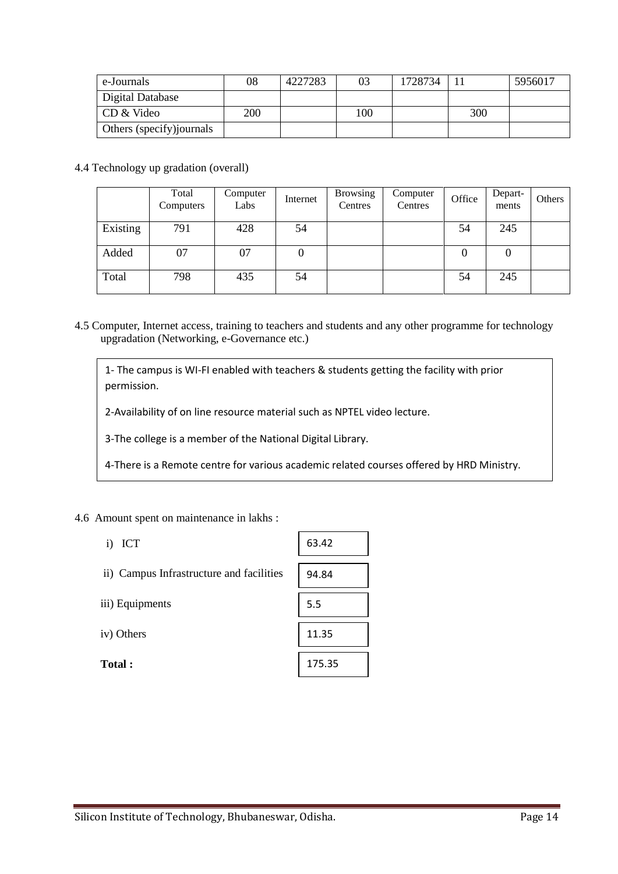| e-Journals                | 08  | 4227283 | 03  | 1728734 |     | 5956017 |
|---------------------------|-----|---------|-----|---------|-----|---------|
| Digital Database          |     |         |     |         |     |         |
| CD & Video                | 200 |         | 100 |         | 300 |         |
| Others (specify) journals |     |         |     |         |     |         |

4.4 Technology up gradation (overall)

|          | Total<br>Computers | Computer<br>Labs | Internet | <b>Browsing</b><br>Centres | Computer<br>Centres | Office | Depart-<br>ments | Others |
|----------|--------------------|------------------|----------|----------------------------|---------------------|--------|------------------|--------|
| Existing | 791                | 428              | 54       |                            |                     | 54     | 245              |        |
| Added    | 07                 | 07               | 0        |                            |                     | 0      |                  |        |
| Total    | 798                | 435              | 54       |                            |                     | 54     | 245              |        |

4.5 Computer, Internet access, training to teachers and students and any other programme for technology upgradation (Networking, e-Governance etc.)

1- The campus is WI-FI enabled with teachers & students getting the facility with prior permission.

2-Availability of on line resource material such as NPTEL video lecture.

3-The college is a member of the National Digital Library.

4-There is a Remote centre for various academic related courses offered by HRD Ministry.

Г

### 4.6 Amount spent on maintenance in lakhs :

| ICT<br>i)                                | 63.42  |
|------------------------------------------|--------|
| ii) Campus Infrastructure and facilities | 94.84  |
| iii) Equipments                          | 5.5    |
| iv) Others                               | 11.35  |
| Total:                                   | 175.35 |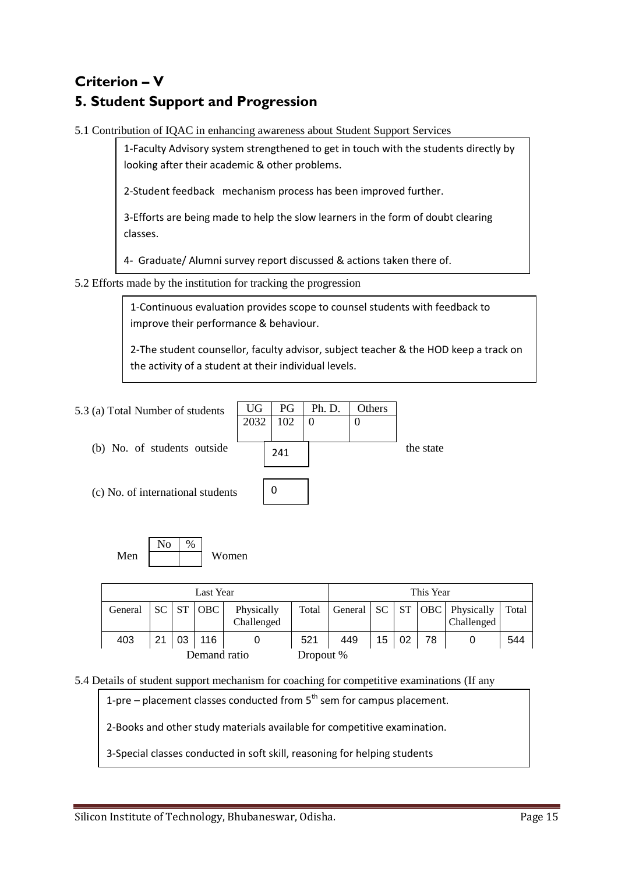# **Criterion – V 5. Student Support and Progression**

5.1 Contribution of IQAC in enhancing awareness about Student Support Services

1-Faculty Advisory system strengthened to get in touch with the students directly by looking after their academic & other problems.

2-Student feedback mechanism process has been improved further.

3-Efforts are being made to help the slow learners in the form of doubt clearing classes.

4- Graduate/ Alumni survey report discussed & actions taken there of.

5.2 Efforts made by the institution for tracking the progression

1-Continuous evaluation provides scope to counsel students with feedback to improve their performance & behaviour.

2-The student counsellor, faculty advisor, subject teacher & the HOD keep a track on the activity of a student at their individual levels.

| 5.3 (a) Total Number of students  | UG<br>2032 | PG.<br>102 | Ph. D. | Others |           |
|-----------------------------------|------------|------------|--------|--------|-----------|
| (b) No. of students outside       |            | 241        |        |        | the state |
| (c) No. of international students |            |            |        |        |           |

$$
Men \begin{array}{|c|c|c|} \hline No & \frac{\%}{\%} \\ \hline & & \end{array} \text{Women}
$$

| Last Year                 |     |    |            |                          | This Year |     |    |    |    |                                                    |       |
|---------------------------|-----|----|------------|--------------------------|-----------|-----|----|----|----|----------------------------------------------------|-------|
| General                   | SC. | ST | <b>OBC</b> | Physically<br>Challenged | Total     |     |    |    |    | General   SC   ST   OBC   Physically<br>Challenged | Total |
| 403                       | 21  | 03 | 116        |                          | 521       | 449 | 15 | 02 | 78 |                                                    | 544   |
| Demand ratio<br>Dropout % |     |    |            |                          |           |     |    |    |    |                                                    |       |

5.4 Details of student support mechanism for coaching for competitive examinations (If any

1-pre – placement classes conducted from  $5<sup>th</sup>$  sem for campus placement.

2-Books and other study materials available for competitive examination.

3-Special classes conducted in soft skill, reasoning for helping students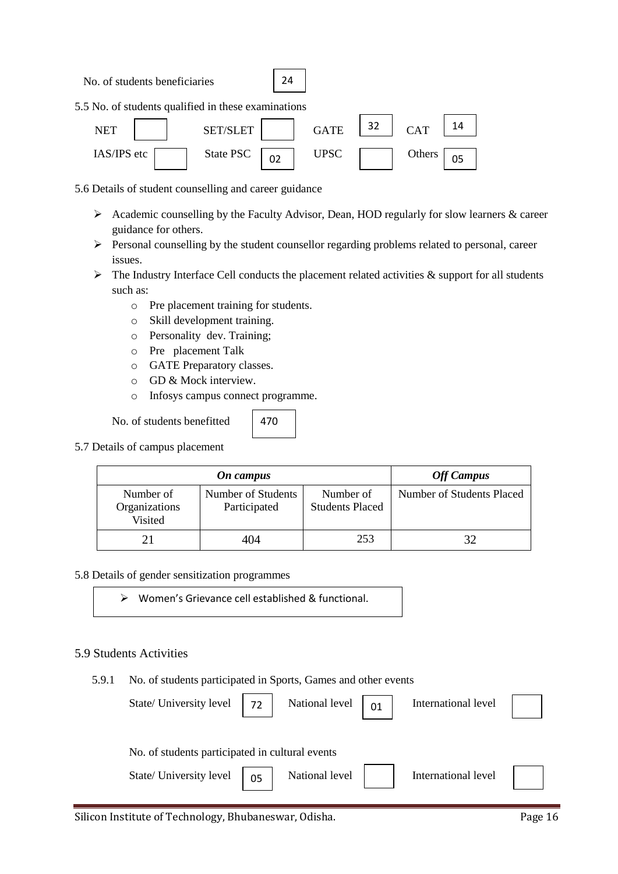No. of students beneficiaries



5.5 No. of students qualified in these examinations



5.6 Details of student counselling and career guidance

- $\triangleright$  Academic counselling by the Faculty Advisor, Dean, HOD regularly for slow learners & career guidance for others.
- $\triangleright$  Personal counselling by the student counsellor regarding problems related to personal, career issues.
- $\triangleright$  The Industry Interface Cell conducts the placement related activities & support for all students such as:
	- o Pre placement training for students.
	- o Skill development training.
	- o Personality dev. Training;
	- o Pre placement Talk
	- o GATE Preparatory classes.
	- o GD & Mock interview.
	- o Infosys campus connect programme.

No. of students benefitted

470

5.7 Details of campus placement

|                                       | <b>Off Campus</b>                  |                                     |                           |
|---------------------------------------|------------------------------------|-------------------------------------|---------------------------|
| Number of<br>Organizations<br>Visited | Number of Students<br>Participated | Number of<br><b>Students Placed</b> | Number of Students Placed |
|                                       | 404                                | 253                                 | 32                        |

## 5.8 Details of gender sensitization programmes

Women's Grievance cell established & functional.

## 5.9 Students Activities

5.9.1 No. of students participated in Sports, Games and other events

| State/ University level                         | 72 | National level | 01 | International level |  |
|-------------------------------------------------|----|----------------|----|---------------------|--|
| No. of students participated in cultural events |    |                |    |                     |  |
| State/ University level                         | 05 | National level |    | International level |  |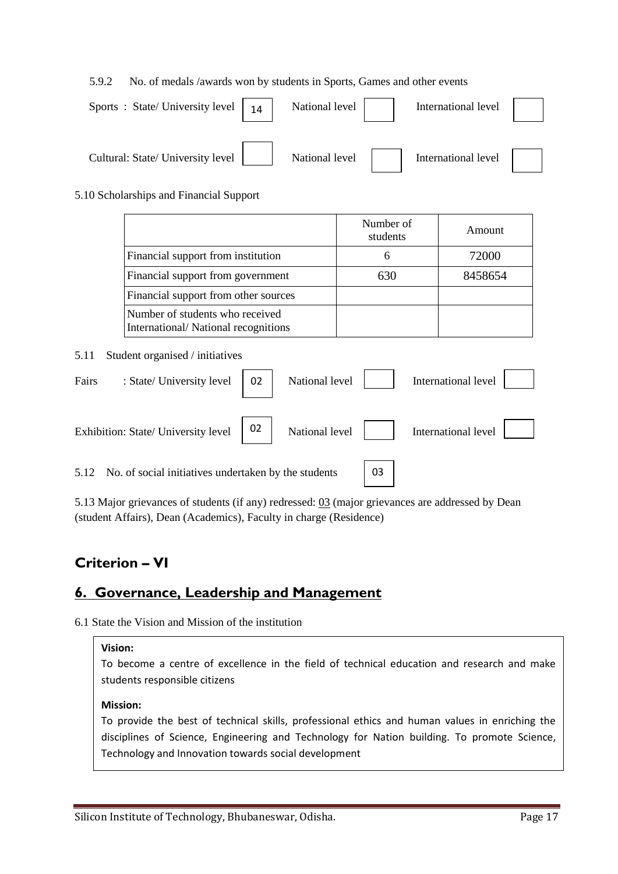### 5.9.2 No. of medals /awards won by students in Sports, Games and other events

| Sports: State/University level  <br>14 | National level | International level |  |
|----------------------------------------|----------------|---------------------|--|
| Cultural: State/ University level      | National level | International level |  |

### 5.10 Scholarships and Financial Support

|                                                                        | Number of<br>students | Amount  |
|------------------------------------------------------------------------|-----------------------|---------|
| Financial support from institution                                     | 6                     | 72000   |
| Financial support from government                                      | 630                   | 8458654 |
| Financial support from other sources                                   |                       |         |
| Number of students who received<br>International/National recognitions |                       |         |

#### 5.11 Student organised / initiatives

| Fairs | : State/ University level                                              | 02 | National level | International level |  |
|-------|------------------------------------------------------------------------|----|----------------|---------------------|--|
|       | Exhibition: State/ University level $\begin{bmatrix} 02 \end{bmatrix}$ |    | National level | International level |  |
|       | 5.12 No. of social initiatives undertaken by the students              |    |                |                     |  |

 $\mathbf{I}$ 

5.13 Major grievances of students (if any) redressed: 03 (major grievances are addressed by Dean (student Affairs), Dean (Academics), Faculty in charge (Residence)

# **Criterion – VI**

## **6. Governance, Leadership and Management**

6.1 State the Vision and Mission of the institution

#### **Vision:**

To become a centre of excellence in the field of technical education and research and make students responsible citizens

#### **Mission:**

To provide the best of technical skills, professional ethics and human values in enriching the disciplines of Science, Engineering and Technology for Nation building. To promote Science, Technology and Innovation towards social development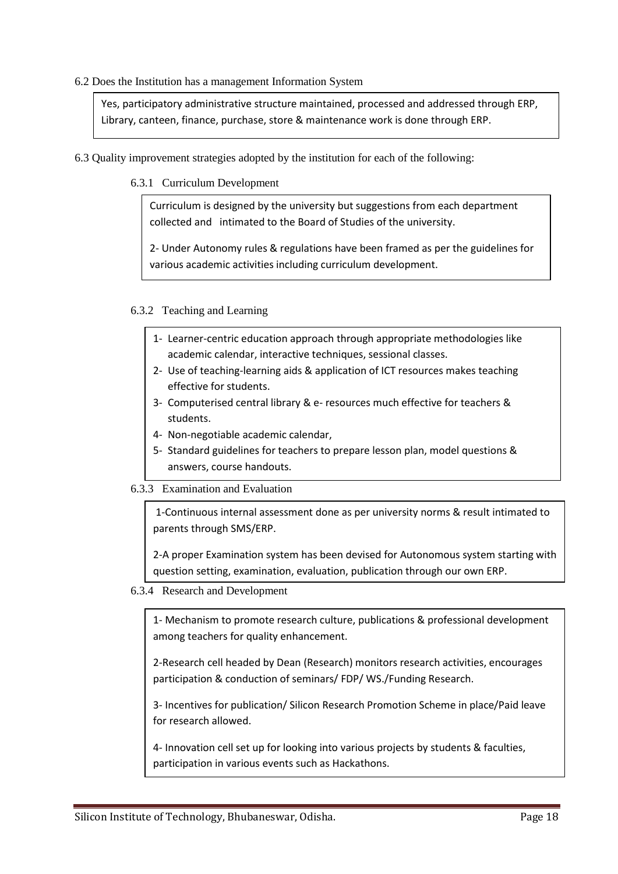### 6.2 Does the Institution has a management Information System

Yes, participatory administrative structure maintained, processed and addressed through ERP, Library, canteen, finance, purchase, store & maintenance work is done through ERP.

- 6.3 Quality improvement strategies adopted by the institution for each of the following:
	- 6.3.1 Curriculum Development

Curriculum is designed by the university but suggestions from each department collected and intimated to the Board of Studies of the university.

2- Under Autonomy rules & regulations have been framed as per the guidelines for various academic activities including curriculum development.

## 6.3.2 Teaching and Learning

- 1- Learner-centric education approach through appropriate methodologies like academic calendar, interactive techniques, sessional classes.
- 2- Use of teaching-learning aids & application of ICT resources makes teaching effective for students.
- 3- Computerised central library & e- resources much effective for teachers & students.
- 4- Non-negotiable academic calendar,
- 5- Standard guidelines for teachers to prepare lesson plan, model questions & answers, course handouts.

## 6.3.3 Examination and Evaluation

1-Continuous internal assessment done as per university norms & result intimated to parents through SMS/ERP.

2-A proper Examination system has been devised for Autonomous system starting with question setting, examination, evaluation, publication through our own ERP.

6.3.4 Research and Development

1- Mechanism to promote research culture, publications & professional development among teachers for quality enhancement.

2-Research cell headed by Dean (Research) monitors research activities, encourages participation & conduction of seminars/ FDP/ WS./Funding Research.

3- Incentives for publication/ Silicon Research Promotion Scheme in place/Paid leave for research allowed.

4- Innovation cell set up for looking into various projects by students & faculties, participation in various events such as Hackathons.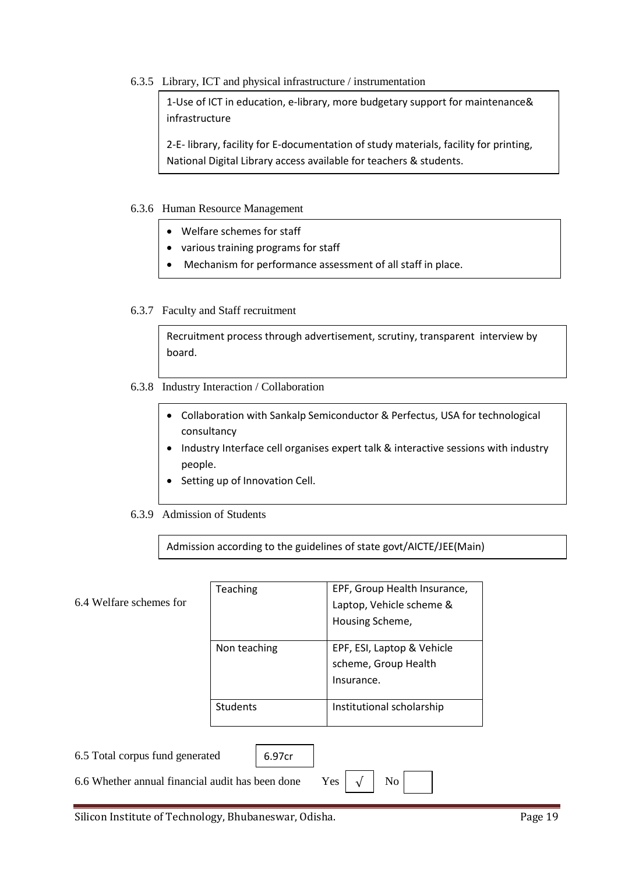6.3.5 Library, ICT and physical infrastructure / instrumentation

1-Use of ICT in education, e-library, more budgetary support for maintenance& infrastructure

2-E- library, facility for E-documentation of study materials, facility for printing, National Digital Library access available for teachers & students.

### 6.3.6 Human Resource Management

- Welfare schemes for staff
- various training programs for staff
- Mechanism for performance assessment of all staff in place.

### 6.3.7 Faculty and Staff recruitment

Recruitment process through advertisement, scrutiny, transparent interview by board.

- 6.3.8 Industry Interaction / Collaboration
	- Collaboration with Sankalp Semiconductor & Perfectus, USA for technological consultancy
	- Industry Interface cell organises expert talk & interactive sessions with industry people.
	- Setting up of Innovation Cell.
- 6.3.9 Admission of Students

Admission according to the guidelines of state govt/AICTE/JEE(Main)

| 6.4 Welfare schemes for                                                   | Teaching     | EPF, Group Health Insurance,<br>Laptop, Vehicle scheme &<br>Housing Scheme, |  |  |
|---------------------------------------------------------------------------|--------------|-----------------------------------------------------------------------------|--|--|
|                                                                           | Non teaching | EPF, ESI, Laptop & Vehicle<br>scheme, Group Health<br>Insurance.            |  |  |
|                                                                           | Students     | Institutional scholarship                                                   |  |  |
| 6.5 Total corpus fund generated<br>6.97cr                                 |              |                                                                             |  |  |
| N <sub>o</sub><br>6.6 Whether annual financial audit has been done<br>Yes |              |                                                                             |  |  |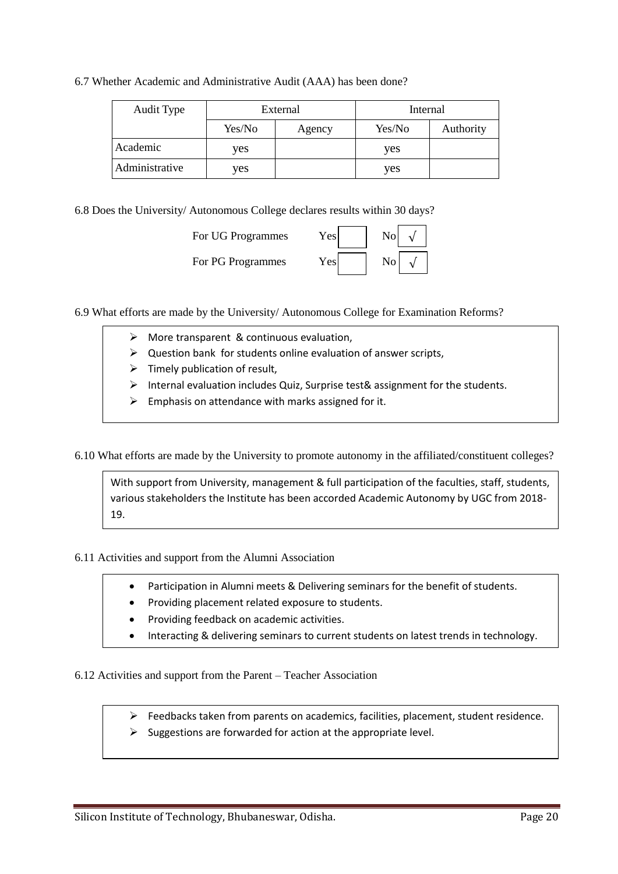6.7 Whether Academic and Administrative Audit (AAA) has been done?

| Audit Type     | External |        | Internal |           |
|----------------|----------|--------|----------|-----------|
|                | Yes/No   | Agency | Yes/No   | Authority |
| Academic       | ves      |        | yes      |           |
| Administrative | ves      |        | yes      |           |

6.8 Does the University/ Autonomous College declares results within 30 days?

| For UG Programmes | $\rm Yes$ | No |
|-------------------|-----------|----|
| For PG Programmes | Yes       | No |

6.9 What efforts are made by the University/ Autonomous College for Examination Reforms?

- More transparent & continuous evaluation,
- $\triangleright$  Question bank for students online evaluation of answer scripts,
- $\triangleright$  Timely publication of result,
- $\triangleright$  Internal evaluation includes Quiz, Surprise test& assignment for the students.
- $\triangleright$  Emphasis on attendance with marks assigned for it.

6.10 What efforts are made by the University to promote autonomy in the affiliated/constituent colleges?

With support from University, management & full participation of the faculties, staff, students, various stakeholders the Institute has been accorded Academic Autonomy by UGC from 2018- 19.

6.11 Activities and support from the Alumni Association

- Participation in Alumni meets & Delivering seminars for the benefit of students.
- Providing placement related exposure to students.
- Providing feedback on academic activities.
- Interacting & delivering seminars to current students on latest trends in technology.

6.12 Activities and support from the Parent – Teacher Association

- $\triangleright$  Feedbacks taken from parents on academics, facilities, placement, student residence.
- $\triangleright$  Suggestions are forwarded for action at the appropriate level.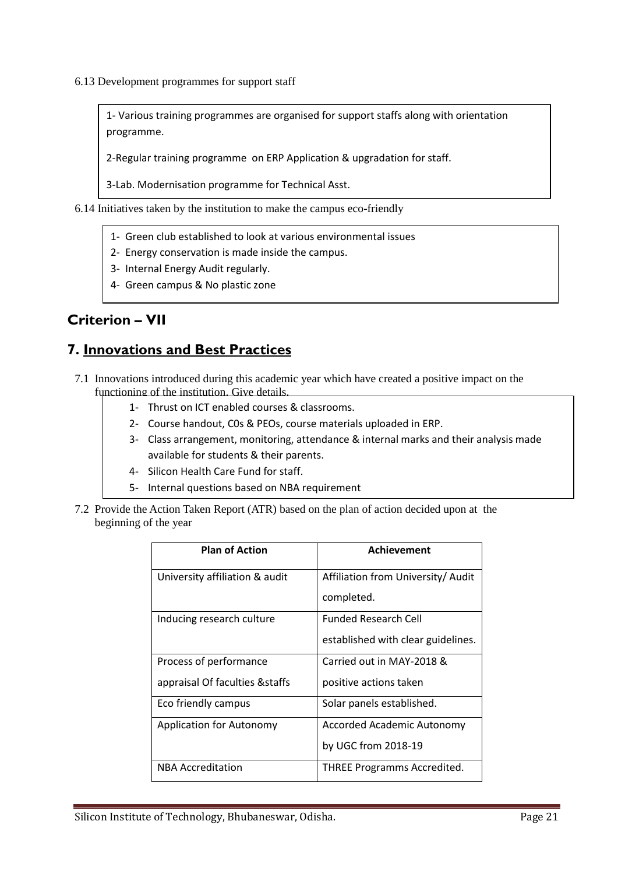6.13 Development programmes for support staff

1- Various training programmes are organised for support staffs along with orientation programme.

2-Regular training programme on ERP Application & upgradation for staff.

3-Lab. Modernisation programme for Technical Asst.

- 6.14 Initiatives taken by the institution to make the campus eco-friendly
	- 1- Green club established to look at various environmental issues
	- 2- Energy conservation is made inside the campus.
	- 3- Internal Energy Audit regularly.
	- 4- Green campus & No plastic zone

# **Criterion – VII**

# **7. Innovations and Best Practices**

- 7.1 Innovations introduced during this academic year which have created a positive impact on the functioning of the institution. Give details.
	- 1- Thrust on ICT enabled courses & classrooms.
	- 2- Course handout, C0s & PEOs, course materials uploaded in ERP.
	- 3- Class arrangement, monitoring, attendance & internal marks and their analysis made available for students & their parents.
	- 4- Silicon Health Care Fund for staff.
	- 5- Internal questions based on NBA requirement
- 7.2 Provide the Action Taken Report (ATR) based on the plan of action decided upon at the beginning of the year

| <b>Plan of Action</b>           | Achievement                        |
|---------------------------------|------------------------------------|
| University affiliation & audit  | Affiliation from University/ Audit |
|                                 | completed.                         |
| Inducing research culture       | <b>Funded Research Cell</b>        |
|                                 | established with clear guidelines. |
| Process of performance          | Carried out in MAY-2018 &          |
| appraisal Of faculties & staffs | positive actions taken             |
| Eco friendly campus             | Solar panels established.          |
| <b>Application for Autonomy</b> | Accorded Academic Autonomy         |
|                                 | by UGC from 2018-19                |
| <b>NBA Accreditation</b>        | <b>THREE Programms Accredited.</b> |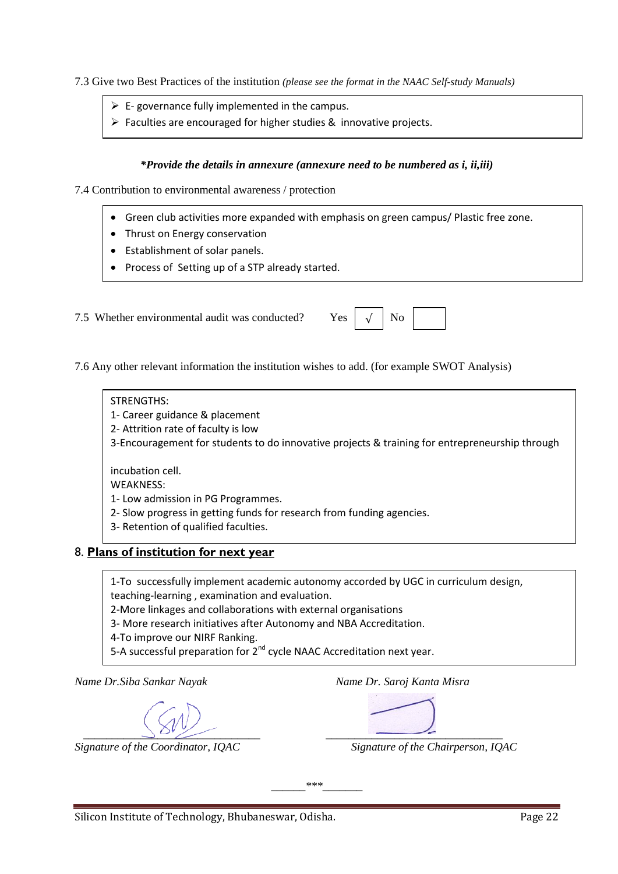7.3 Give two Best Practices of the institution *(please see the format in the NAAC Self-study Manuals)*

- $\triangleright$  E- governance fully implemented in the campus.
- $\triangleright$  Faculties are encouraged for higher studies & innovative projects.

### *\*Provide the details in annexure (annexure need to be numbered as i, ii,iii)*

7.4 Contribution to environmental awareness / protection

- Green club activities more expanded with emphasis on green campus/ Plastic free zone.
- Thrust on Energy conservation
- Establishment of solar panels.
- Process of Setting up of a STP already started.

7.5 Whether environmental audit was conducted? Yes

7.6 Any other relevant information the institution wishes to add. (for example SWOT Analysis)

### STRENGTHS:

- 1- Career guidance & placement
- 2- Attrition rate of faculty is low

3-Encouragement for students to do innovative projects & training for entrepreneurship through

incubation cell.

WEAKNESS:

- 1- Low admission in PG Programmes.
- 2- Slow progress in getting funds for research from funding agencies.
- 3- Retention of qualified faculties.

## 8. **Plans of institution for next year**

1-To successfully implement academic autonomy accorded by UGC in curriculum design,

teaching-learning , examination and evaluation.

2-More linkages and collaborations with external organisations

3- More research initiatives after Autonomy and NBA Accreditation.

4-To improve our NIRF Ranking.

5-A successful preparation for 2<sup>nd</sup> cycle NAAC Accreditation next year.

*Name Dr.Siba Sankar Nayak Name Dr. Saroj Kanta Misra*

 *\_\_\_\_\_\_\_\_\_\_\_\_\_\_\_\_\_\_\_\_\_\_\_\_\_\_\_\_\_\_\_ \_\_\_\_\_\_\_\_\_\_\_\_\_\_\_\_\_\_\_\_\_\_\_\_\_\_\_\_\_\_\_* 

*Signature of the Coordinator, IQAC Signature of the Chairperson, IQAC*

*\_\_\_\_\_\_\*\*\*\_\_\_\_\_\_\_*